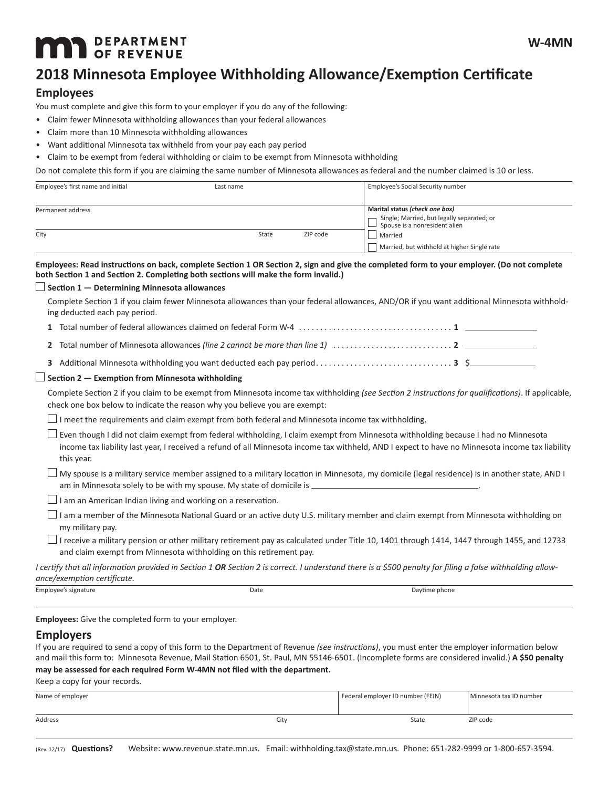# DEPARTMENT

## **2018 Minnesota Employee Withholding Allowance/Exemption Certificate**

#### **Employees**

You must complete and give this form to your employer if you do any of the following:

- Claim fewer Minnesota withholding allowances than your federal allowances
- • Claim more than 10 Minnesota withholding allowances
- Want additional Minnesota tax withheld from your pay each pay period
- • Claim to be exempt from federal withholding or claim to be exempt from Minnesota withholding

Do not complete this form if you are claiming the same number of Minnesota allowances as federal and the number claimed is 10 or less.

| Employee's first name and initial | Last name |          | Employee's Social Security number                                        |
|-----------------------------------|-----------|----------|--------------------------------------------------------------------------|
|                                   |           |          |                                                                          |
| Permanent address                 |           |          | Marital status (check one box)                                           |
|                                   |           |          | Single; Married, but legally separated; or Spouse is a nonresident alien |
| City                              | State     | ZIP code | Married                                                                  |
|                                   |           |          | Married, but withhold at higher Single rate                              |

#### **Employees: Read instructions on back, complete Section 1 OR Section 2, sign and give the completed form to your employer. (Do not complete both Section 1 and Section 2. Completing both sections will make the form invalid.)**

#### **Section 1 — Determining Minnesota allowances**

| Complete Section 1 if you claim fewer Minnesota allowances than your federal allowances, AND/OR if you want additional Minnesota withhold- |
|--------------------------------------------------------------------------------------------------------------------------------------------|
| ing deducted each pay period.                                                                                                              |

#### **Section 2 — Exemption from Minnesota withholding**

 Complete Section 2 if you claim to be exempt from Minnesota income tax withholding *(see Section 2 instructions for qualifications)*. If applicable, check one box below to indicate the reason why you believe you are exempt:

|  | I meet the requirements and claim exempt from both federal and Minnesota income tax withholding. |  |  |  |
|--|--------------------------------------------------------------------------------------------------|--|--|--|
|--|--------------------------------------------------------------------------------------------------|--|--|--|

 $\Box$  Even though I did not claim exempt from federal withholding, I claim exempt from Minnesota withholding because I had no Minnesota income tax liability last year, I received a refund of all Minnesota income tax withheld, AND I expect to have no Minnesota income tax liability this year.

| $\Box$ My spouse is a military service member assigned to a military location in Minnesota, my domicile (legal residence) is in another state, AND I |  |
|------------------------------------------------------------------------------------------------------------------------------------------------------|--|
| am in Minnesota solely to be with my spouse. My state of domicile is _                                                                               |  |

 $\Box$  I am an American Indian living and working on a reservation.

 $\Box$  I am a member of the Minnesota National Guard or an active duty U.S. military member and claim exempt from Minnesota withholding on my military pay.

 $\Box$  I receive a military pension or other military retirement pay as calculated under Title 10, 1401 through 1414, 1447 through 1455, and 12733 and claim exempt from Minnesota withholding on this retirement pay.

I certify that all information provided in Section 1 **OR** Section 2 is correct. I understand there is a \$500 penalty for filing a false withholding allow*ance/exemption certificate.*

| Employee's signature |  |
|----------------------|--|
|----------------------|--|

Date **Date Date** Daytime phone

**Employees:** Give the completed form to your employer.

#### **Employers**

If you are required to send a copy of this form to the Department of Revenue *(see instructions)*, you must enter the employer information below and mail this form to: Minnesota Revenue, Mail Station 6501, St. Paul, MN 55146-6501. (Incomplete forms are considered invalid.) **A \$50 penalty may be assessed for each required Form W-4MN not filed with the department.**

Keep a copy for your records.

| Name of employer |      | Federal employer ID number (FEIN) | Minnesota tax ID number |
|------------------|------|-----------------------------------|-------------------------|
|                  |      |                                   |                         |
| Address          | City | State                             | ZIP code                |
|                  |      |                                   |                         |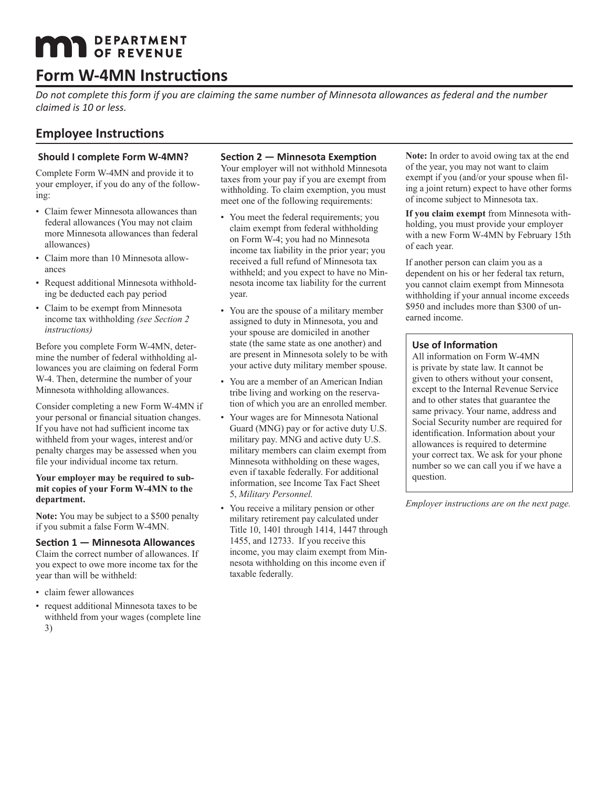# **MAN** DEPARTMENT

## **Form W-4MN Instructions**

*Do not complete this form if you are claiming the same number of Minnesota allowances as federal and the number claimed is 10 or less.*

### **Employee Instructions**

#### **Should I complete Form W-4MN?**

Complete Form W-4MN and provide it to your employer, if you do any of the following:

- Claim fewer Minnesota allowances than federal allowances (You may not claim more Minnesota allowances than federal allowances)
- Claim more than 10 Minnesota allowances
- Request additional Minnesota withholding be deducted each pay period
- Claim to be exempt from Minnesota income tax withholding *(see Section 2 instructions)*

Before you complete Form W-4MN, determine the number of federal withholding allowances you are claiming on federal Form W-4. Then, determine the number of your Minnesota withholding allowances.

Consider completing a new Form W-4MN if your personal or financial situation changes. If you have not had sufficient income tax withheld from your wages, interest and/or penalty charges may be assessed when you file your individual income tax return.

#### **Your employer may be required to submit copies of your Form W-4MN to the department.**

**Note:** You may be subject to a \$500 penalty if you submit a false Form W-4MN.

#### **Section 1 — Minnesota Allowances**

Claim the correct number of allowances. If you expect to owe more income tax for the year than will be withheld:

- claim fewer allowances
- request additional Minnesota taxes to be withheld from your wages (complete line 3)

#### **Section 2 — Minnesota Exemption**

Your employer will not withhold Minnesota taxes from your pay if you are exempt from withholding. To claim exemption, you must meet one of the following requirements:

- You meet the federal requirements; you claim exempt from federal withholding on Form W-4; you had no Minnesota income tax liability in the prior year; you received a full refund of Minnesota tax withheld; and you expect to have no Minnesota income tax liability for the current year.
- You are the spouse of a military member assigned to duty in Minnesota, you and your spouse are domiciled in another state (the same state as one another) and are present in Minnesota solely to be with your active duty military member spouse.
- You are a member of an American Indian tribe living and working on the reservation of which you are an enrolled member.
- Your wages are for Minnesota National Guard (MNG) pay or for active duty U.S. military pay. MNG and active duty U.S. military members can claim exempt from Minnesota withholding on these wages, even if taxable federally. For additional information, see Income Tax Fact Sheet 5, *Military Personnel.*
- You receive a military pension or other military retirement pay calculated under Title 10, 1401 through 1414, 1447 through 1455, and 12733. If you receive this income, you may claim exempt from Minnesota withholding on this income even if taxable federally.

**Note:** In order to avoid owing tax at the end of the year, you may not want to claim exempt if you (and/or your spouse when filing a joint return) expect to have other forms of income subject to Minnesota tax.

**If you claim exempt** from Minnesota withholding, you must provide your employer with a new Form W-4MN by February 15th of each year.

If another person can claim you as a dependent on his or her federal tax return, you cannot claim exempt from Minnesota withholding if your annual income exceeds \$950 and includes more than \$300 of unearned income.

#### **Use of Information**

All information on Form W-4MN is private by state law. It cannot be given to others without your consent, except to the Internal Revenue Service and to other states that guarantee the same privacy. Your name, address and Social Security number are required for identification. Information about your allowances is required to determine your correct tax. We ask for your phone number so we can call you if we have a question.

*Employer instructions are on the next page.*